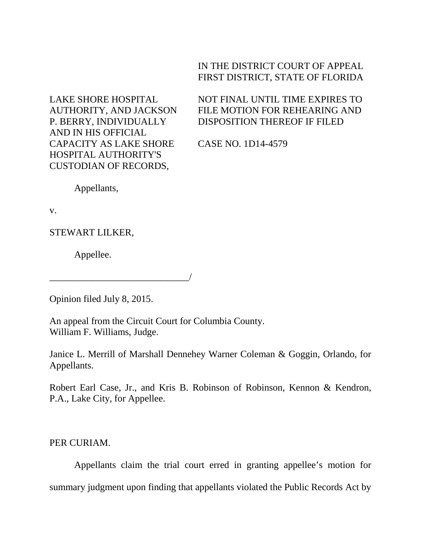## IN THE DISTRICT COURT OF APPEAL FIRST DISTRICT, STATE OF FLORIDA

LAKE SHORE HOSPITAL AUTHORITY, AND JACKSON P. BERRY, INDIVIDUALLY AND IN HIS OFFICIAL CAPACITY AS LAKE SHORE HOSPITAL AUTHORITY'S CUSTODIAN OF RECORDS,

NOT FINAL UNTIL TIME EXPIRES TO FILE MOTION FOR REHEARING AND DISPOSITION THEREOF IF FILED

CASE NO. 1D14-4579

Appellants,

v.

STEWART LILKER,

Appellee.

Opinion filed July 8, 2015.

\_\_\_\_\_\_\_\_\_\_\_\_\_\_\_\_\_\_\_\_\_\_\_\_\_\_\_\_\_/

An appeal from the Circuit Court for Columbia County. William F. Williams, Judge.

Janice L. Merrill of Marshall Dennehey Warner Coleman & Goggin, Orlando, for Appellants.

Robert Earl Case, Jr., and Kris B. Robinson of Robinson, Kennon & Kendron, P.A., Lake City, for Appellee.

PER CURIAM.

Appellants claim the trial court erred in granting appellee's motion for summary judgment upon finding that appellants violated the Public Records Act by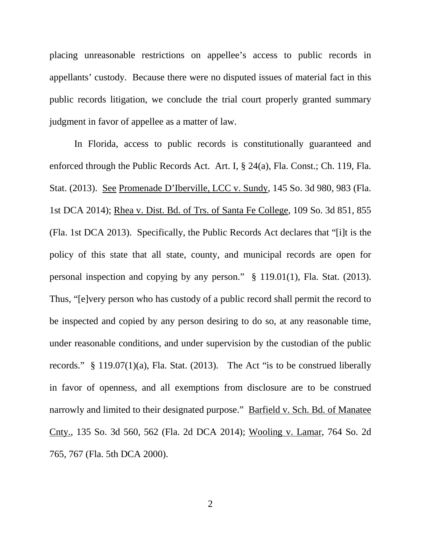placing unreasonable restrictions on appellee's access to public records in appellants' custody. Because there were no disputed issues of material fact in this public records litigation, we conclude the trial court properly granted summary judgment in favor of appellee as a matter of law.

In Florida, access to public records is constitutionally guaranteed and enforced through the Public Records Act. Art. I, § 24(a), Fla. Const.; Ch. 119, Fla. Stat. (2013). See Promenade D'Iberville, LCC v. Sundy, 145 So. 3d 980, 983 (Fla. 1st DCA 2014); Rhea v. Dist. Bd. of Trs. of Santa Fe College, 109 So. 3d 851, 855 (Fla. 1st DCA 2013). Specifically, the Public Records Act declares that "[i]t is the policy of this state that all state, county, and municipal records are open for personal inspection and copying by any person." § 119.01(1), Fla. Stat. (2013). Thus, "[e]very person who has custody of a public record shall permit the record to be inspected and copied by any person desiring to do so, at any reasonable time, under reasonable conditions, and under supervision by the custodian of the public records." § 119.07(1)(a), Fla. Stat. (2013). The Act "is to be construed liberally in favor of openness, and all exemptions from disclosure are to be construed narrowly and limited to their designated purpose." Barfield v. Sch. Bd. of Manatee Cnty., 135 So. 3d 560, 562 (Fla. 2d DCA 2014); Wooling v. Lamar, 764 So. 2d 765, 767 (Fla. 5th DCA 2000).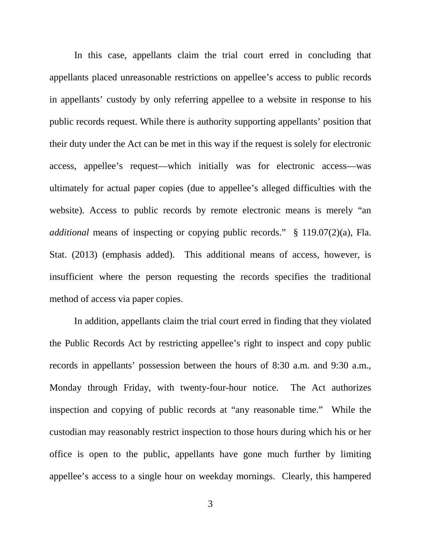In this case, appellants claim the trial court erred in concluding that appellants placed unreasonable restrictions on appellee's access to public records in appellants' custody by only referring appellee to a website in response to his public records request. While there is authority supporting appellants' position that their duty under the Act can be met in this way if the request is solely for electronic access, appellee's request—which initially was for electronic access—was ultimately for actual paper copies (due to appellee's alleged difficulties with the website). Access to public records by remote electronic means is merely "an *additional* means of inspecting or copying public records." § 119.07(2)(a), Fla. Stat. (2013) (emphasis added). This additional means of access, however, is insufficient where the person requesting the records specifies the traditional method of access via paper copies.

In addition, appellants claim the trial court erred in finding that they violated the Public Records Act by restricting appellee's right to inspect and copy public records in appellants' possession between the hours of 8:30 a.m. and 9:30 a.m., Monday through Friday, with twenty-four-hour notice. The Act authorizes inspection and copying of public records at "any reasonable time." While the custodian may reasonably restrict inspection to those hours during which his or her office is open to the public, appellants have gone much further by limiting appellee's access to a single hour on weekday mornings. Clearly, this hampered